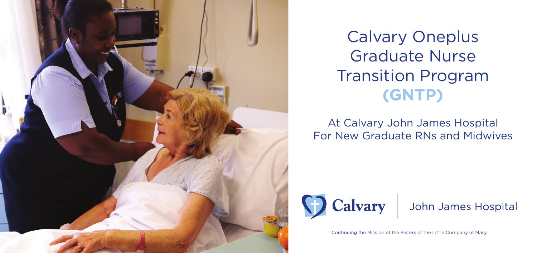

**Craduate Nurse**<br>Transition Progran<br>**(GNTP)** Calvary Oneplus Graduate Nurse Transition Program **(GNTP)** 

Call And Respond Early At Calvary John James Hospital<br>For New Graduate RNs and Midwives At Calvary John James Hospital



John James Hospital

Continuing the Mission of the Sisters of the Little Company of Mary